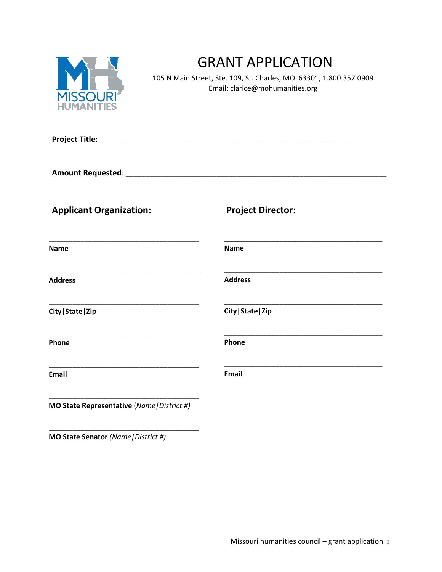

# GRANT APPLICATION

 105 N Main Street, Ste. 109, St. Charles, MO 63301, 1.800.357.0909 Email: clarice@mohumanities.org

| <b>Applicant Organization:</b>              | <b>Project Director:</b> |
|---------------------------------------------|--------------------------|
| <b>Name</b>                                 | <b>Name</b>              |
| <b>Address</b>                              | <b>Address</b>           |
| City   State   Zip                          | City   State   Zip       |
| Phone                                       | Phone                    |
| <b>Email</b>                                | <b>Email</b>             |
| MO State Representative (Name   District #) |                          |

**MO State Senator** *(Name|District #)*

\_\_\_\_\_\_\_\_\_\_\_\_\_\_\_\_\_\_\_\_\_\_\_\_\_\_\_\_\_\_\_\_\_\_\_\_\_\_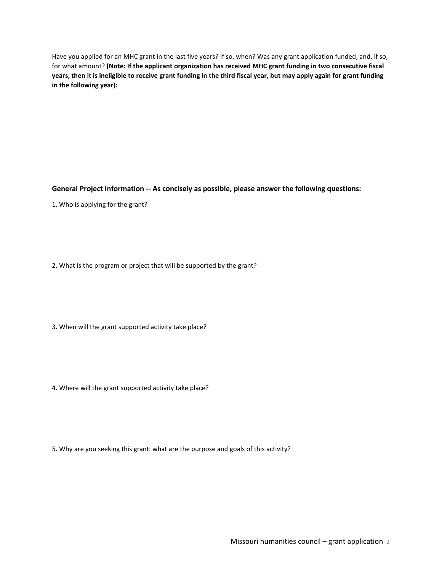Have you applied for an MHC grant in the last five years? If so, when? Was any grant application funded, and, if so, for what amount? **(Note: If the applicant organization has received MHC grant funding in two consecutive fiscal** years, then it is ineligible to receive grant funding in the third fiscal year, but may apply again for grant funding **in the following year):** 

**General Project Information -- As concisely as possible, please answer the following questions:** 

1. Who is applying for the grant?

2. What is the program or project that will be supported by the grant?

3. When will the grant supported activity take place?

4. Where will the grant supported activity take place?

5. Why are you seeking this grant: what are the purpose and goals of this activity?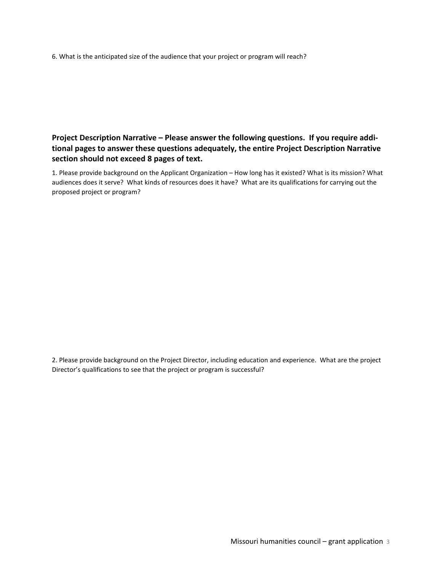6. What is the anticipated size of the audience that your project or program will reach?

**Project Description Narrative – Please answer the following questions. If you require additional pages to answer these questions adequately, the entire Project Description Narrative section should not exceed 8 pages of text.**

1. Please provide background on the Applicant Organization – How long has it existed? What is its mission? What audiences does it serve? What kinds of resources does it have? What are its qualifications for carrying out the proposed project or program?

2. Please provide background on the Project Director, including education and experience. What are the project Director's qualifications to see that the project or program is successful?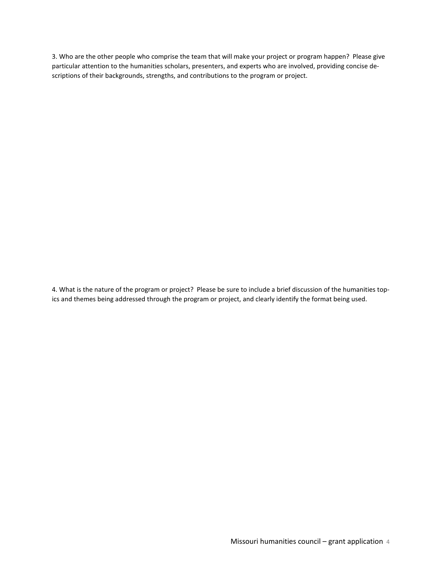3. Who are the other people who comprise the team that will make your project or program happen? Please give particular attention to the humanities scholars, presenters, and experts who are involved, providing concise descriptions of their backgrounds, strengths, and contributions to the program or project.

4. What is the nature of the program or project? Please be sure to include a brief discussion of the humanities topics and themes being addressed through the program or project, and clearly identify the format being used.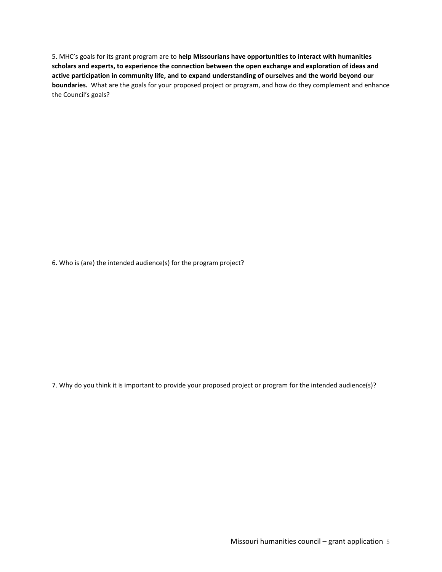5. MHC's goals for its grant program are to **help Missourians have opportunities to interact with humanities scholars and experts, to experience the connection between the open exchange and exploration of ideas and active participation in community life, and to expand understanding of ourselves and the world beyond our boundaries.** What are the goals for your proposed project or program, and how do they complement and enhance the Council's goals?

6. Who is (are) the intended audience(s) for the program project?

7. Why do you think it is important to provide your proposed project or program for the intended audience(s)?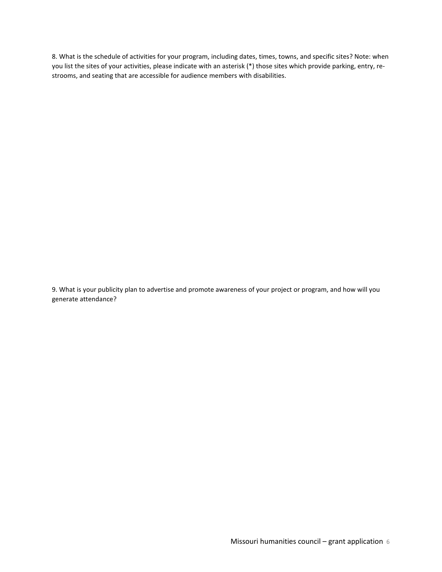8. What is the schedule of activities for your program, including dates, times, towns, and specific sites? Note: when you list the sites of your activities, please indicate with an asterisk (\*) those sites which provide parking, entry, restrooms, and seating that are accessible for audience members with disabilities.

9. What is your publicity plan to advertise and promote awareness of your project or program, and how will you generate attendance?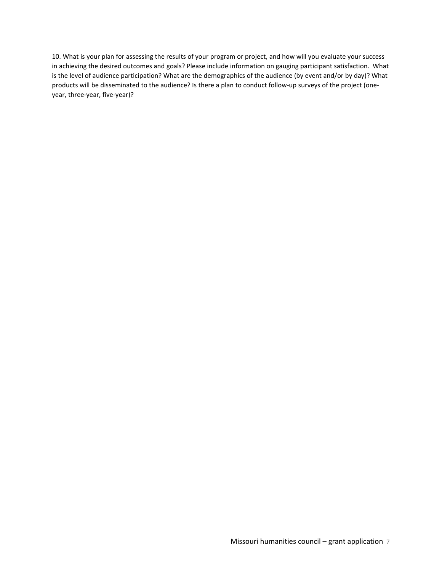10. What is your plan for assessing the results of your program or project, and how will you evaluate your success in achieving the desired outcomes and goals? Please include information on gauging participant satisfaction. What is the level of audience participation? What are the demographics of the audience (by event and/or by day)? What products will be disseminated to the audience? Is there a plan to conduct follow-up surveys of the project (oneyear, three-year, five-year)?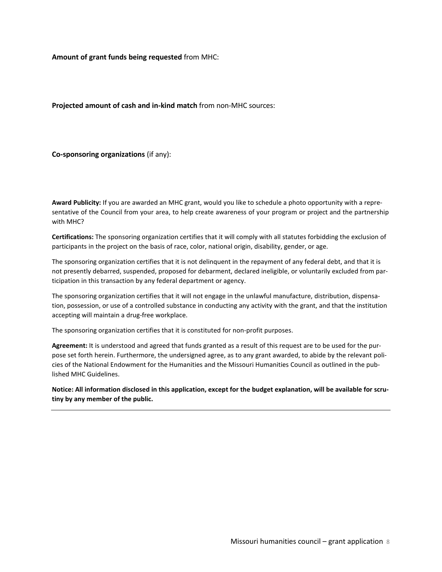**Amount of grant funds being requested** from MHC:

**Projected amount of cash and in-kind match** from non-MHC sources:

**Co-sponsoring organizations** (if any):

**Award Publicity:** If you are awarded an MHC grant, would you like to schedule a photo opportunity with a representative of the Council from your area, to help create awareness of your program or project and the partnership with MHC?

**Certifications:** The sponsoring organization certifies that it will comply with all statutes forbidding the exclusion of participants in the project on the basis of race, color, national origin, disability, gender, or age.

The sponsoring organization certifies that it is not delinquent in the repayment of any federal debt, and that it is not presently debarred, suspended, proposed for debarment, declared ineligible, or voluntarily excluded from participation in this transaction by any federal department or agency.

The sponsoring organization certifies that it will not engage in the unlawful manufacture, distribution, dispensation, possession, or use of a controlled substance in conducting any activity with the grant, and that the institution accepting will maintain a drug-free workplace.

The sponsoring organization certifies that it is constituted for non-profit purposes.

**Agreement:** It is understood and agreed that funds granted as a result of this request are to be used for the purpose set forth herein. Furthermore, the undersigned agree, as to any grant awarded, to abide by the relevant policies of the National Endowment for the Humanities and the Missouri Humanities Council as outlined in the published MHC Guidelines.

Notice: All information disclosed in this application, except for the budget explanation, will be available for scru**tiny by any member of the public.**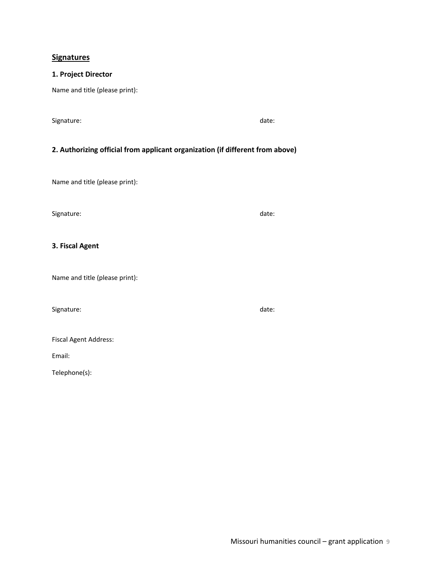### **Signatures**

# **1. Project Director**

Name and title (please print):

Signature: date: date: date: date: date: date: date: date: date: date: date: date: date: date: date: date: date: date: date: date: date: date: date: date: date: date: date: date: date: date: date: date: date: date: date: d

# **2. Authorizing official from applicant organization (if different from above)**

Name and title (please print):

Signature: date: date: date: date: date: date: date: date: date: date: date: date: date: date: date: date: date: date: date: date: date: date: date: date: date: date: date: date: date: date: date: date: date: date: date: d

# **3. Fiscal Agent**

Name and title (please print):

Signature: date: date: date: date: date: date: date: date: date: date: date: date: date: date: date: date: date: date: date: date: date: date: date: date: date: date: date: date: date: date: date: date: date: date: date: d

|  |  | <b>Fiscal Agent Address:</b> |
|--|--|------------------------------|
|--|--|------------------------------|

Email:

Telephone(s):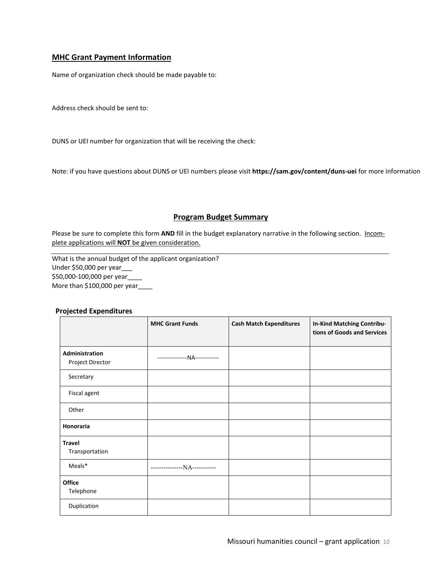## **MHC Grant Payment Information**

Name of organization check should be made payable to:

Address check should be sent to:

DUNS or UEI number for organization that will be receiving the check:

Note: if you have questions about DUNS or UEI numbers please visit **https://sam.gov/content/duns-uei** for more information

### **Program Budget Summary**

Please be sure to complete this form AND fill in the budget explanatory narrative in the following section. Incomplete applications will **NOT** be given consideration.

What is the annual budget of the applicant organization? Under \$50,000 per year\_\_\_ \$50,000-100,000 per year\_\_\_\_ More than \$100,000 per year\_\_\_\_

|                                    | <b>MHC Grant Funds</b>        | <b>Cash Match Expenditures</b> | <b>In-Kind Matching Contribu-</b><br>tions of Goods and Services |
|------------------------------------|-------------------------------|--------------------------------|------------------------------------------------------------------|
| Administration<br>Project Director | ---------------NA------------ |                                |                                                                  |
| Secretary                          |                               |                                |                                                                  |
| Fiscal agent                       |                               |                                |                                                                  |
| Other                              |                               |                                |                                                                  |
| <b>Honoraria</b>                   |                               |                                |                                                                  |
| <b>Travel</b><br>Transportation    |                               |                                |                                                                  |
| Meals*                             | ---------------NA-----------  |                                |                                                                  |
| <b>Office</b><br>Telephone         |                               |                                |                                                                  |
| Duplication                        |                               |                                |                                                                  |

### **Projected Expenditures**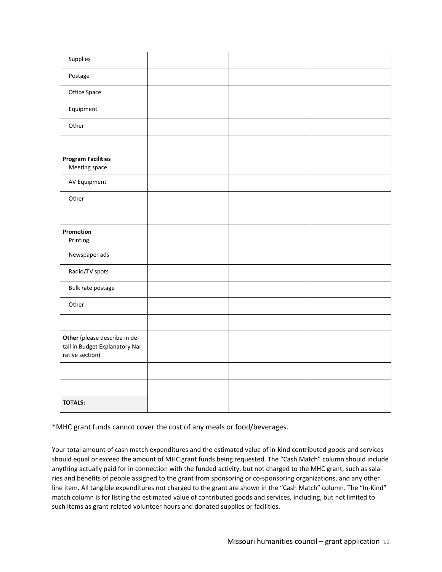| Supplies                                                                            |  |  |
|-------------------------------------------------------------------------------------|--|--|
| Postage                                                                             |  |  |
| Office Space                                                                        |  |  |
| Equipment                                                                           |  |  |
| Other                                                                               |  |  |
|                                                                                     |  |  |
| <b>Program Facilities</b><br>Meeting space                                          |  |  |
| AV Equipment                                                                        |  |  |
| Other                                                                               |  |  |
|                                                                                     |  |  |
| Promotion<br>Printing                                                               |  |  |
| Newspaper ads                                                                       |  |  |
| Radio/TV spots                                                                      |  |  |
| Bulk rate postage                                                                   |  |  |
| Other                                                                               |  |  |
|                                                                                     |  |  |
| Other (please describe in de-<br>tail in Budget Explanatory Nar-<br>rative section) |  |  |
|                                                                                     |  |  |
|                                                                                     |  |  |
| <b>TOTALS:</b>                                                                      |  |  |

\*MHC grant funds cannot cover the cost of any meals or food/beverages.

Your total amount of cash match expenditures and the estimated value of in-kind contributed goods and services should equal or exceed the amount of MHC grant funds being requested. The "Cash Match" column should include anything actually paid for in connection with the funded activity, but not charged to the MHC grant, such as salaries and benefits of people assigned to the grant from sponsoring or co-sponsoring organizations, and any other line item. All tangible expenditures not charged to the grant are shown in the "Cash Match" column. The "In-Kind" match column is for listing the estimated value of contributed goods and services, including, but not limited to such items as grant-related volunteer hours and donated supplies or facilities.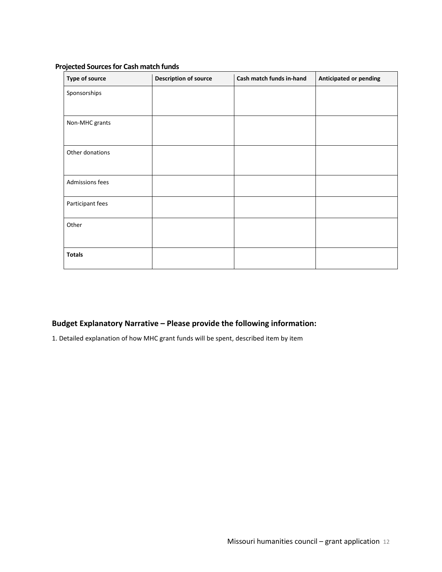# **Projected Sourcesfor Cash match funds**

| Type of source   | <b>Description of source</b> | Cash match funds in-hand | <b>Anticipated or pending</b> |
|------------------|------------------------------|--------------------------|-------------------------------|
| Sponsorships     |                              |                          |                               |
|                  |                              |                          |                               |
| Non-MHC grants   |                              |                          |                               |
|                  |                              |                          |                               |
| Other donations  |                              |                          |                               |
|                  |                              |                          |                               |
| Admissions fees  |                              |                          |                               |
|                  |                              |                          |                               |
| Participant fees |                              |                          |                               |
| Other            |                              |                          |                               |
|                  |                              |                          |                               |
| <b>Totals</b>    |                              |                          |                               |

# **Budget Explanatory Narrative – Please provide the following information:**

1. Detailed explanation of how MHC grant funds will be spent, described item by item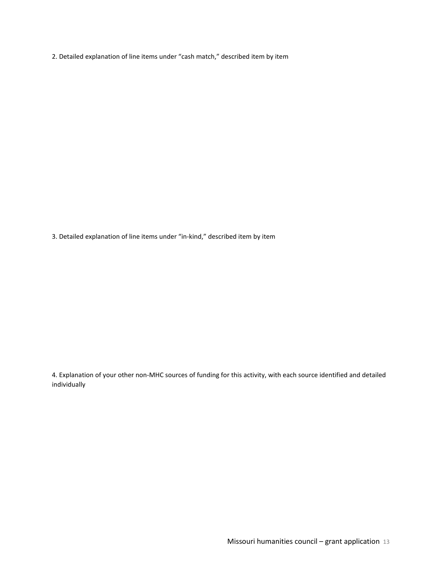2. Detailed explanation of line items under "cash match," described item by item

3. Detailed explanation of line items under "in-kind," described item by item

4. Explanation of your other non-MHC sources of funding for this activity, with each source identified and detailed individually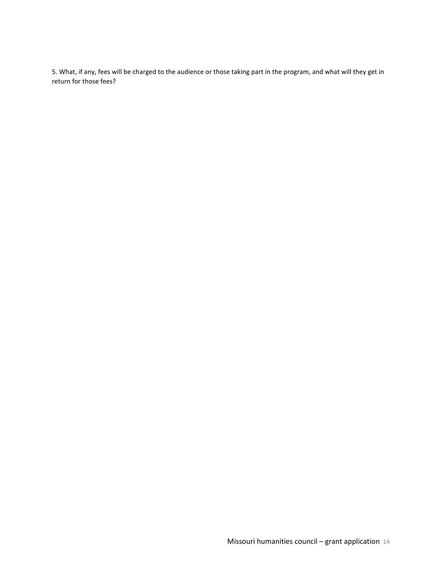5. What, if any, fees will be charged to the audience or those taking part in the program, and what will they get in return for those fees?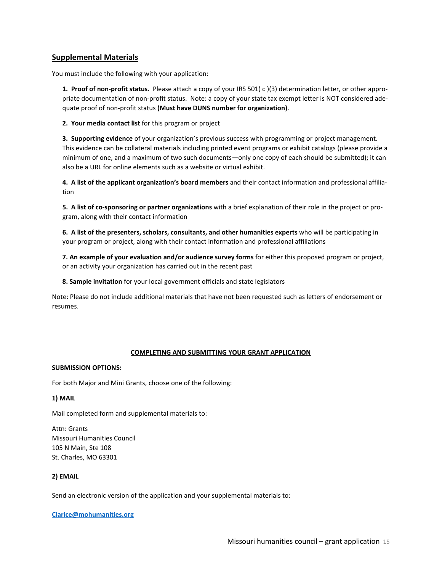### **Supplemental Materials**

You must include the following with your application:

**1. Proof of non-profit status.** Please attach a copy of your IRS 501( c )(3) determination letter, or other appropriate documentation of non-profit status. Note: a copy of your state tax exempt letter is NOT considered adequate proof of non-profit status **(Must have DUNS number for organization)**.

**2. Your media contact list** for this program or project

**3. Supporting evidence** of your organization's previous success with programming or project management. This evidence can be collateral materials including printed event programs or exhibit catalogs (please provide a minimum of one, and a maximum of two such documents—only one copy of each should be submitted); it can also be a URL for online elements such as a website or virtual exhibit.

**4. A list of the applicant organization's board members** and their contact information and professional affiliation

**5. A list of co-sponsoring or partner organizations** with a brief explanation of their role in the project or program, along with their contact information

**6. A list of the presenters, scholars, consultants, and other humanities experts** who will be participating in your program or project, along with their contact information and professional affiliations

**7. An example of your evaluation and/or audience survey forms** for either this proposed program or project, or an activity your organization has carried out in the recent past

**8. Sample invitation** for your local government officials and state legislators

Note: Please do not include additional materials that have not been requested such as letters of endorsement or resumes.

### **COMPLETING AND SUBMITTING YOUR GRANT APPLICATION**

### **SUBMISSION OPTIONS:**

For both Major and Mini Grants, choose one of the following:

### **1) MAIL**

Mail completed form and supplemental materials to:

Attn: Grants Missouri Humanities Council 105 N Main, Ste 108 St. Charles, MO 63301

### **2) EMAIL**

Send an electronic version of the application and your supplemental materials to:

### **[Clarice@mohumanities.org](mailto:Clarice@mohumanities.org)**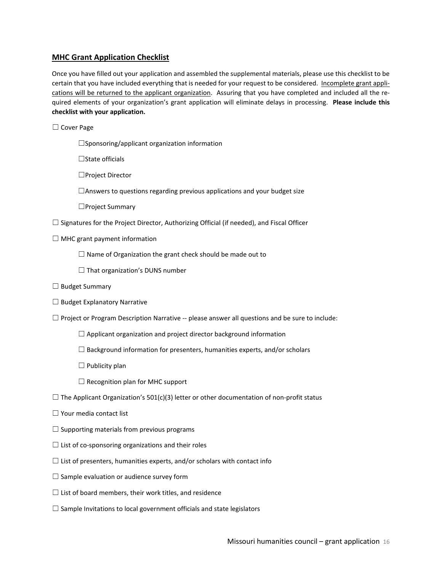# **MHC Grant Application Checklist**

Once you have filled out your application and assembled the supplemental materials, please use this checklist to be certain that you have included everything that is needed for your request to be considered. Incomplete grant applications will be returned to the applicant organization. Assuring that you have completed and included all the required elements of your organization's grant application will eliminate delays in processing. **Please include this checklist with your application.**

☐ Cover Page

☐Sponsoring/applicant organization information

☐State officials

☐Project Director

☐Answers to questions regarding previous applications and your budget size

☐Project Summary

 $\Box$  Signatures for the Project Director, Authorizing Official (if needed), and Fiscal Officer

 $\Box$  MHC grant payment information

 $\Box$  Name of Organization the grant check should be made out to

 $\Box$  That organization's DUNS number

- □ Budget Summary
- ☐ Budget Explanatory Narrative

 $\Box$  Project or Program Description Narrative -- please answer all questions and be sure to include:

- $\Box$  Applicant organization and project director background information
- ☐ Background information for presenters, humanities experts, and/or scholars
- $\Box$  Publicity plan
- □ Recognition plan for MHC support
- $\Box$  The Applicant Organization's 501(c)(3) letter or other documentation of non-profit status
- ☐ Your media contact list
- $\Box$  Supporting materials from previous programs
- $\Box$  List of co-sponsoring organizations and their roles
- $\Box$  List of presenters, humanities experts, and/or scholars with contact info
- $\Box$  Sample evaluation or audience survey form
- $\Box$  List of board members, their work titles, and residence
- $\Box$  Sample Invitations to local government officials and state legislators